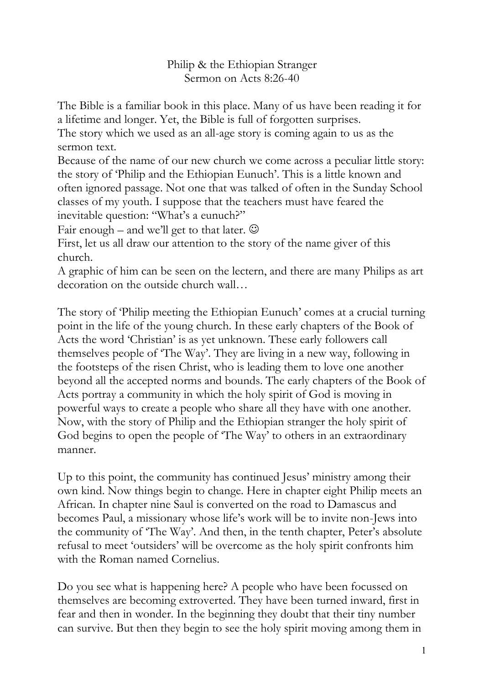## Philip & the Ethiopian Stranger Sermon on [Acts 8:26-40](http://bible.oremus.org/?ql=297432438)

The Bible is a familiar book in this place. Many of us have been reading it for a lifetime and longer. Yet, the Bible is full of forgotten surprises.

The story which we used as an all-age story is coming again to us as the sermon text.

Because of the name of our new church we come across a peculiar little story: the story of "Philip and the Ethiopian Eunuch". This is a little known and often ignored passage. Not one that was talked of often in the Sunday School classes of my youth. I suppose that the teachers must have feared the inevitable question: "What's a eunuch?"

Fair enough – and we'll get to that later.  $\Theta$ 

First, let us all draw our attention to the story of the name giver of this church.

A graphic of him can be seen on the lectern, and there are many Philips as art decoration on the outside church wall…

The story of "Philip meeting the Ethiopian Eunuch" comes at a crucial turning point in the life of the young church. In these early chapters of the Book of Acts the word "Christian" is as yet unknown. These early followers call themselves people of "The Way". They are living in a new way, following in the footsteps of the risen Christ, who is leading them to love one another beyond all the accepted norms and bounds. The early chapters of the Book of Acts portray a community in which the holy spirit of God is moving in powerful ways to create a people who share all they have with one another. Now, with the story of Philip and the Ethiopian stranger the holy spirit of God begins to open the people of 'The Way' to others in an extraordinary manner.

Up to this point, the community has continued Jesus' ministry among their own kind. Now things begin to change. Here in chapter eight Philip meets an African. In chapter nine Saul is converted on the road to Damascus and becomes Paul, a missionary whose life"s work will be to invite non-Jews into the community of 'The Way'. And then, in the tenth chapter, Peter's absolute refusal to meet "outsiders" will be overcome as the holy spirit confronts him with the Roman named Cornelius.

Do you see what is happening here? A people who have been focussed on themselves are becoming extroverted. They have been turned inward, first in fear and then in wonder. In the beginning they doubt that their tiny number can survive. But then they begin to see the holy spirit moving among them in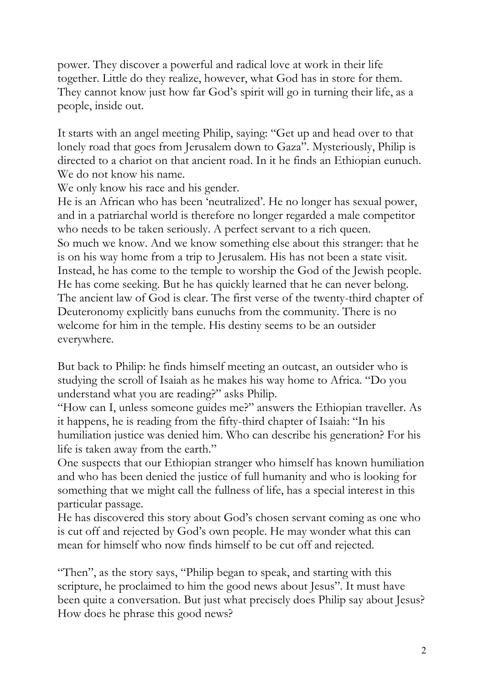power. They discover a powerful and radical love at work in their life together. Little do they realize, however, what God has in store for them. They cannot know just how far God's spirit will go in turning their life, as a people, inside out.

It starts with an angel meeting Philip, saying: "Get up and head over to that lonely road that goes from Jerusalem down to Gaza". Mysteriously, Philip is directed to a chariot on that ancient road. In it he finds an Ethiopian eunuch. We do not know his name.

We only know his race and his gender.

He is an African who has been "neutralized". He no longer has sexual power, and in a patriarchal world is therefore no longer regarded a male competitor who needs to be taken seriously. A perfect servant to a rich queen. So much we know. And we know something else about this stranger: that he is on his way home from a trip to Jerusalem. His has not been a state visit. Instead, he has come to the temple to worship the God of the Jewish people. He has come seeking. But he has quickly learned that he can never belong. The ancient law of God is clear. The first verse of the twenty-third chapter of Deuteronomy explicitly bans eunuchs from the community. There is no welcome for him in the temple. His destiny seems to be an outsider everywhere.

But back to Philip: he finds himself meeting an outcast, an outsider who is studying the scroll of Isaiah as he makes his way home to Africa. "Do you understand what you are reading?" asks Philip.

"How can I, unless someone guides me?" answers the Ethiopian traveller. As it happens, he is reading from the fifty-third chapter of Isaiah: "In his humiliation justice was denied him. Who can describe his generation? For his life is taken away from the earth."

One suspects that our Ethiopian stranger who himself has known humiliation and who has been denied the justice of full humanity and who is looking for something that we might call the fullness of life, has a special interest in this particular passage.

He has discovered this story about God's chosen servant coming as one who is cut off and rejected by God's own people. He may wonder what this can mean for himself who now finds himself to be cut off and rejected.

"Then", as the story says, "Philip began to speak, and starting with this scripture, he proclaimed to him the good news about Jesus". It must have been quite a conversation. But just what precisely does Philip say about Jesus? How does he phrase this good news?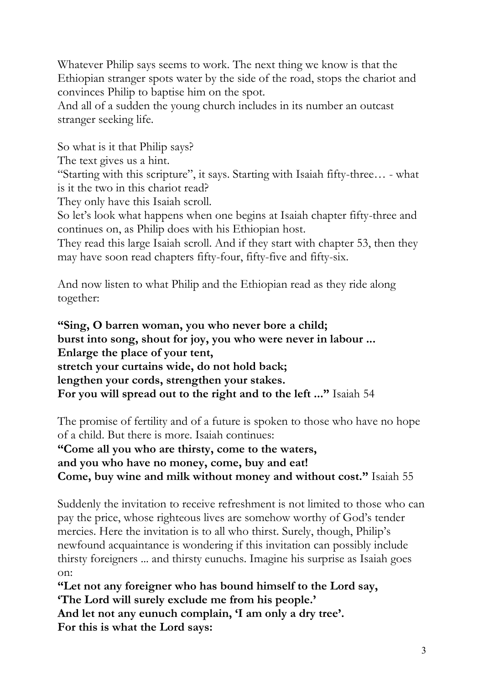Whatever Philip says seems to work. The next thing we know is that the Ethiopian stranger spots water by the side of the road, stops the chariot and convinces Philip to baptise him on the spot.

And all of a sudden the young church includes in its number an outcast stranger seeking life.

So what is it that Philip says?

The text gives us a hint.

"Starting with this scripture", it says. Starting with Isaiah fifty-three… - what is it the two in this chariot read?

They only have this Isaiah scroll.

So let's look what happens when one begins at Isaiah chapter fifty-three and continues on, as Philip does with his Ethiopian host.

They read this large Isaiah scroll. And if they start with chapter 53, then they may have soon read chapters fifty-four, fifty-five and fifty-six.

And now listen to what Philip and the Ethiopian read as they ride along together:

**"Sing, O barren woman, you who never bore a child; burst into song, shout for joy, you who were never in labour ... Enlarge the place of your tent, stretch your curtains wide, do not hold back; lengthen your cords, strengthen your stakes. For you will spread out to the right and to the left ..."** Isaiah 54

The promise of fertility and of a future is spoken to those who have no hope of a child. But there is more. Isaiah continues:

**"Come all you who are thirsty, come to the waters, and you who have no money, come, buy and eat! Come, buy wine and milk without money and without cost."** Isaiah 55

Suddenly the invitation to receive refreshment is not limited to those who can pay the price, whose righteous lives are somehow worthy of God"s tender mercies. Here the invitation is to all who thirst. Surely, though, Philip's newfound acquaintance is wondering if this invitation can possibly include thirsty foreigners ... and thirsty eunuchs. Imagine his surprise as Isaiah goes on:

**"Let not any foreigner who has bound himself to the Lord say, "The Lord will surely exclude me from his people."**

And let not any eunuch complain, 'I am only a dry tree'. **For this is what the Lord says:**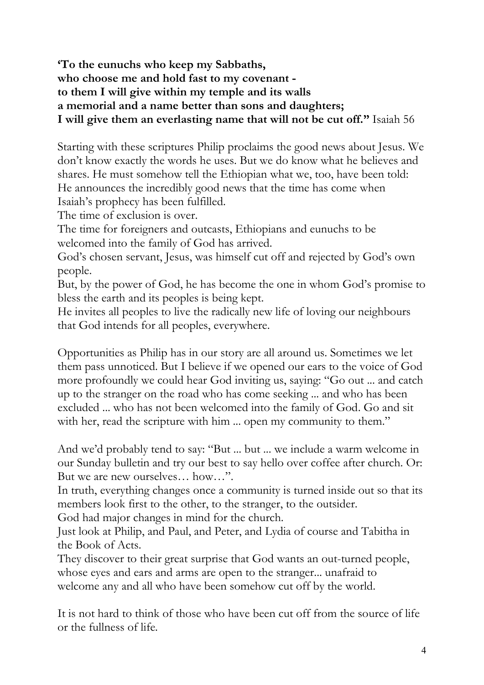## **"To the eunuchs who keep my Sabbaths, who choose me and hold fast to my covenant to them I will give within my temple and its walls a memorial and a name better than sons and daughters; I will give them an everlasting name that will not be cut off."** Isaiah 56

Starting with these scriptures Philip proclaims the good news about Jesus. We don"t know exactly the words he uses. But we do know what he believes and shares. He must somehow tell the Ethiopian what we, too, have been told: He announces the incredibly good news that the time has come when Isaiah"s prophecy has been fulfilled.

The time of exclusion is over.

The time for foreigners and outcasts, Ethiopians and eunuchs to be welcomed into the family of God has arrived.

God's chosen servant, Jesus, was himself cut off and rejected by God's own people.

But, by the power of God, he has become the one in whom God"s promise to bless the earth and its peoples is being kept.

He invites all peoples to live the radically new life of loving our neighbours that God intends for all peoples, everywhere.

Opportunities as Philip has in our story are all around us. Sometimes we let them pass unnoticed. But I believe if we opened our ears to the voice of God more profoundly we could hear God inviting us, saying: "Go out ... and catch up to the stranger on the road who has come seeking ... and who has been excluded ... who has not been welcomed into the family of God. Go and sit with her, read the scripture with him ... open my community to them."

And we"d probably tend to say: "But ... but ... we include a warm welcome in our Sunday bulletin and try our best to say hello over coffee after church. Or: But we are new ourselves… how…".

In truth, everything changes once a community is turned inside out so that its members look first to the other, to the stranger, to the outsider.

God had major changes in mind for the church.

Just look at Philip, and Paul, and Peter, and Lydia of course and Tabitha in the Book of Acts.

They discover to their great surprise that God wants an out-turned people, whose eyes and ears and arms are open to the stranger... unafraid to welcome any and all who have been somehow cut off by the world.

It is not hard to think of those who have been cut off from the source of life or the fullness of life.